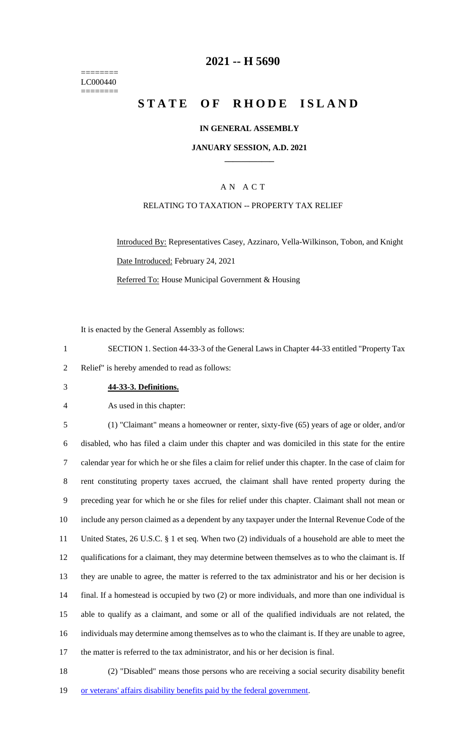======== LC000440 ========

### **2021 -- H 5690**

# **STATE OF RHODE ISLAND**

### **IN GENERAL ASSEMBLY**

#### **JANUARY SESSION, A.D. 2021 \_\_\_\_\_\_\_\_\_\_\_\_**

### A N A C T

### RELATING TO TAXATION -- PROPERTY TAX RELIEF

Introduced By: Representatives Casey, Azzinaro, Vella-Wilkinson, Tobon, and Knight Date Introduced: February 24, 2021 Referred To: House Municipal Government & Housing

It is enacted by the General Assembly as follows:

1 SECTION 1. Section 44-33-3 of the General Laws in Chapter 44-33 entitled "Property Tax 2 Relief" is hereby amended to read as follows:

3 **44-33-3. Definitions.**

4 As used in this chapter:

 (1) "Claimant" means a homeowner or renter, sixty-five (65) years of age or older, and/or disabled, who has filed a claim under this chapter and was domiciled in this state for the entire calendar year for which he or she files a claim for relief under this chapter. In the case of claim for rent constituting property taxes accrued, the claimant shall have rented property during the preceding year for which he or she files for relief under this chapter. Claimant shall not mean or include any person claimed as a dependent by any taxpayer under the Internal Revenue Code of the United States, 26 U.S.C. § 1 et seq. When two (2) individuals of a household are able to meet the qualifications for a claimant, they may determine between themselves as to who the claimant is. If they are unable to agree, the matter is referred to the tax administrator and his or her decision is final. If a homestead is occupied by two (2) or more individuals, and more than one individual is able to qualify as a claimant, and some or all of the qualified individuals are not related, the individuals may determine among themselves as to who the claimant is. If they are unable to agree, the matter is referred to the tax administrator, and his or her decision is final.

18 (2) "Disabled" means those persons who are receiving a social security disability benefit 19 or veterans' affairs disability benefits paid by the federal government.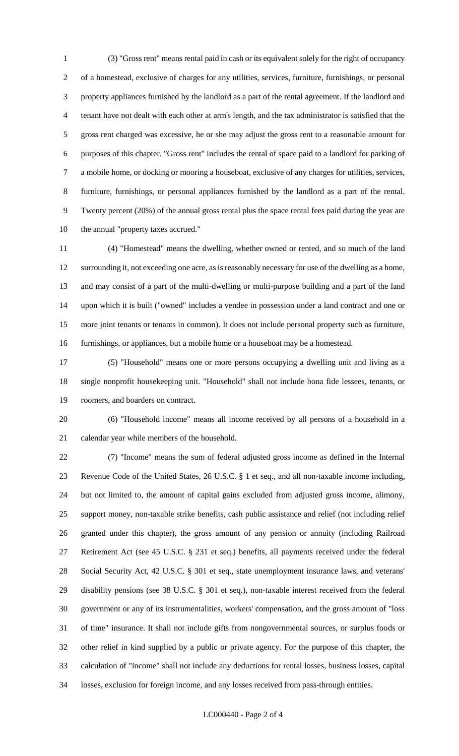(3) "Gross rent" means rental paid in cash or its equivalent solely for the right of occupancy of a homestead, exclusive of charges for any utilities, services, furniture, furnishings, or personal property appliances furnished by the landlord as a part of the rental agreement. If the landlord and tenant have not dealt with each other at arm's length, and the tax administrator is satisfied that the gross rent charged was excessive, he or she may adjust the gross rent to a reasonable amount for purposes of this chapter. "Gross rent" includes the rental of space paid to a landlord for parking of a mobile home, or docking or mooring a houseboat, exclusive of any charges for utilities, services, furniture, furnishings, or personal appliances furnished by the landlord as a part of the rental. Twenty percent (20%) of the annual gross rental plus the space rental fees paid during the year are the annual "property taxes accrued."

 (4) "Homestead" means the dwelling, whether owned or rented, and so much of the land surrounding it, not exceeding one acre, as is reasonably necessary for use of the dwelling as a home, and may consist of a part of the multi-dwelling or multi-purpose building and a part of the land upon which it is built ("owned" includes a vendee in possession under a land contract and one or more joint tenants or tenants in common). It does not include personal property such as furniture, furnishings, or appliances, but a mobile home or a houseboat may be a homestead.

 (5) "Household" means one or more persons occupying a dwelling unit and living as a single nonprofit housekeeping unit. "Household" shall not include bona fide lessees, tenants, or roomers, and boarders on contract.

 (6) "Household income" means all income received by all persons of a household in a calendar year while members of the household.

 (7) "Income" means the sum of federal adjusted gross income as defined in the Internal Revenue Code of the United States, 26 U.S.C. § 1 et seq., and all non-taxable income including, but not limited to, the amount of capital gains excluded from adjusted gross income, alimony, support money, non-taxable strike benefits, cash public assistance and relief (not including relief granted under this chapter), the gross amount of any pension or annuity (including Railroad Retirement Act (see 45 U.S.C. § 231 et seq.) benefits, all payments received under the federal Social Security Act, 42 U.S.C. § 301 et seq., state unemployment insurance laws, and veterans' disability pensions (see 38 U.S.C. § 301 et seq.), non-taxable interest received from the federal government or any of its instrumentalities, workers' compensation, and the gross amount of "loss of time" insurance. It shall not include gifts from nongovernmental sources, or surplus foods or other relief in kind supplied by a public or private agency. For the purpose of this chapter, the calculation of "income" shall not include any deductions for rental losses, business losses, capital losses, exclusion for foreign income, and any losses received from pass-through entities.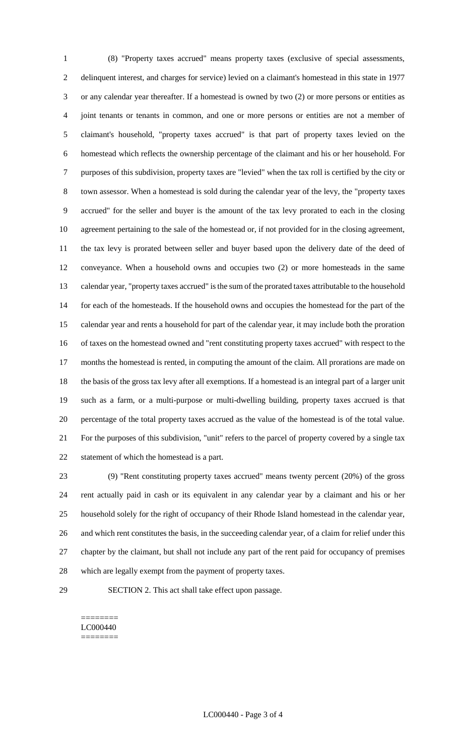(8) "Property taxes accrued" means property taxes (exclusive of special assessments, delinquent interest, and charges for service) levied on a claimant's homestead in this state in 1977 or any calendar year thereafter. If a homestead is owned by two (2) or more persons or entities as joint tenants or tenants in common, and one or more persons or entities are not a member of claimant's household, "property taxes accrued" is that part of property taxes levied on the homestead which reflects the ownership percentage of the claimant and his or her household. For purposes of this subdivision, property taxes are "levied" when the tax roll is certified by the city or town assessor. When a homestead is sold during the calendar year of the levy, the "property taxes accrued" for the seller and buyer is the amount of the tax levy prorated to each in the closing agreement pertaining to the sale of the homestead or, if not provided for in the closing agreement, the tax levy is prorated between seller and buyer based upon the delivery date of the deed of conveyance. When a household owns and occupies two (2) or more homesteads in the same calendar year, "property taxes accrued" is the sum of the prorated taxes attributable to the household for each of the homesteads. If the household owns and occupies the homestead for the part of the calendar year and rents a household for part of the calendar year, it may include both the proration of taxes on the homestead owned and "rent constituting property taxes accrued" with respect to the months the homestead is rented, in computing the amount of the claim. All prorations are made on the basis of the gross tax levy after all exemptions. If a homestead is an integral part of a larger unit such as a farm, or a multi-purpose or multi-dwelling building, property taxes accrued is that percentage of the total property taxes accrued as the value of the homestead is of the total value. For the purposes of this subdivision, "unit" refers to the parcel of property covered by a single tax statement of which the homestead is a part.

 (9) "Rent constituting property taxes accrued" means twenty percent (20%) of the gross rent actually paid in cash or its equivalent in any calendar year by a claimant and his or her household solely for the right of occupancy of their Rhode Island homestead in the calendar year, and which rent constitutes the basis, in the succeeding calendar year, of a claim for relief under this chapter by the claimant, but shall not include any part of the rent paid for occupancy of premises which are legally exempt from the payment of property taxes.

SECTION 2. This act shall take effect upon passage.

#### ======== LC000440 ========